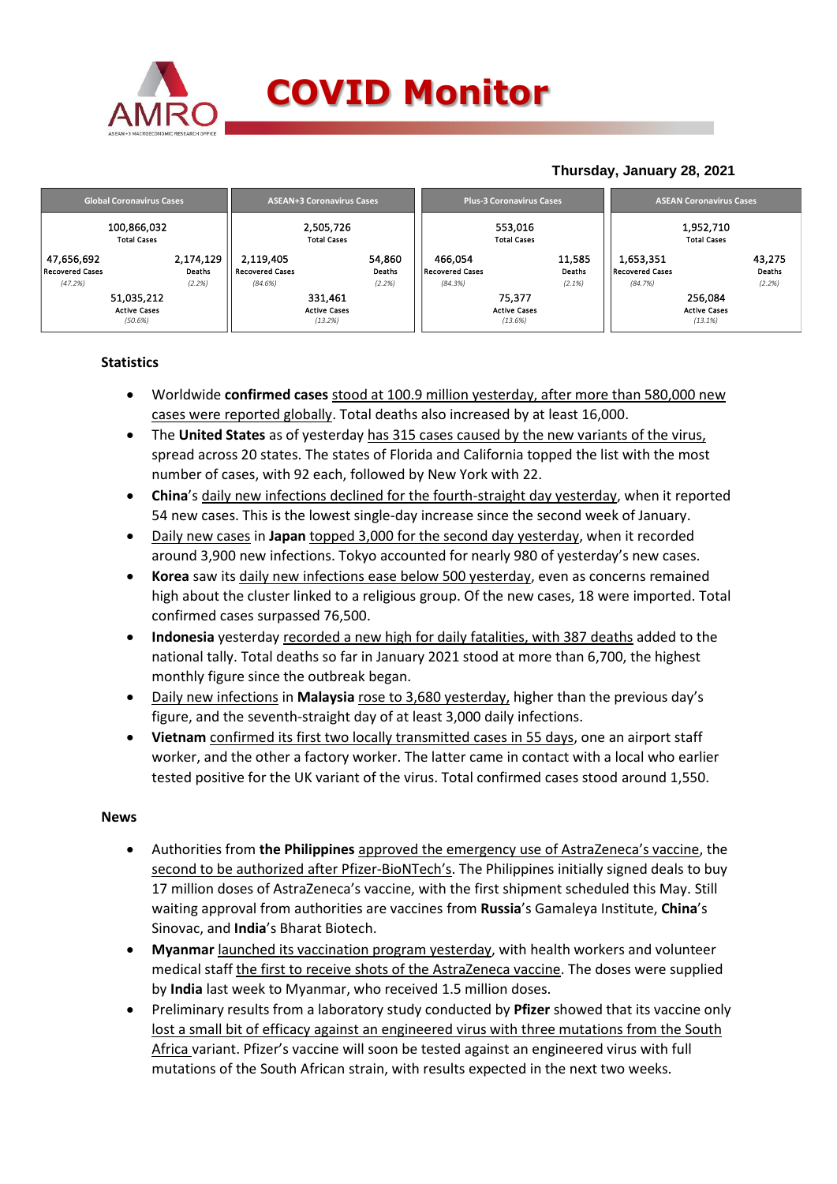

## **COVID Monitor**

### **Thursday, January 28, 2021**

|                                              | <b>Global Coronavirus Cases</b>   | <b>ASEAN+3 Coronavirus Cases</b>          |                  |                                   | <b>Plus-3 Coronavirus Cases</b>          | <b>ASEAN Coronavirus Cases</b>            |                  |  |
|----------------------------------------------|-----------------------------------|-------------------------------------------|------------------|-----------------------------------|------------------------------------------|-------------------------------------------|------------------|--|
|                                              | 100,866,032<br><b>Total Cases</b> | 2,505,726<br><b>Total Cases</b>           |                  |                                   | 553,016<br><b>Total Cases</b>            | 1,952,710<br><b>Total Cases</b>           |                  |  |
| 47,656,692<br><b>Recovered Cases</b>         | 2,174,129<br>Deaths               | 2,119,405<br><b>Recovered Cases</b>       | 54,860<br>Deaths | 466,054<br><b>Recovered Cases</b> | 11,585<br>Deaths                         | 1,653,351<br><b>Recovered Cases</b>       | 43,275<br>Deaths |  |
| (47.2%)                                      | (2.2%)                            | (84.6%)                                   | (2.2%)           | (84.3%)                           | (2.1%)                                   | (84.7%)                                   | (2.2%)           |  |
| 51,035,212<br><b>Active Cases</b><br>(50.6%) |                                   | 331,461<br><b>Active Cases</b><br>(13.2%) |                  |                                   | 75,377<br><b>Active Cases</b><br>(13.6%) | 256,084<br><b>Active Cases</b><br>(13.1%) |                  |  |

### **Statistics**

- Worldwide **confirmed cases** stood at 100.9 million yesterday, after more than 580,000 new cases were reported globally. Total deaths also increased by at least 16,000.
- The **United States** as of yesterday has 315 cases caused by the new variants of the virus, spread across 20 states. The states of Florida and California topped the list with the most number of cases, with 92 each, followed by New York with 22.
- **China**'s daily new infections declined for the fourth-straight day yesterday, when it reported 54 new cases. This is the lowest single-day increase since the second week of January.
- Daily new cases in **Japan** topped 3,000 for the second day yesterday, when it recorded around 3,900 new infections. Tokyo accounted for nearly 980 of yesterday's new cases.
- **Korea** saw its daily new infections ease below 500 yesterday, even as concerns remained high about the cluster linked to a religious group. Of the new cases, 18 were imported. Total confirmed cases surpassed 76,500.
- **Indonesia** yesterday recorded a new high for daily fatalities, with 387 deaths added to the national tally. Total deaths so far in January 2021 stood at more than 6,700, the highest monthly figure since the outbreak began.
- Daily new infections in **Malaysia** rose to 3,680 yesterday, higher than the previous day's figure, and the seventh-straight day of at least 3,000 daily infections.
- **Vietnam** confirmed its first two locally transmitted cases in 55 days, one an airport staff worker, and the other a factory worker. The latter came in contact with a local who earlier tested positive for the UK variant of the virus. Total confirmed cases stood around 1,550.

### **News**

- Authorities from **the Philippines** approved the emergency use of AstraZeneca's vaccine, the second to be authorized after Pfizer-BioNTech's. The Philippines initially signed deals to buy 17 million doses of AstraZeneca's vaccine, with the first shipment scheduled this May. Still waiting approval from authorities are vaccines from **Russia**'s Gamaleya Institute, **China**'s Sinovac, and **India**'s Bharat Biotech.
- **Myanmar** launched its vaccination program yesterday, with health workers and volunteer medical staff the first to receive shots of the AstraZeneca vaccine. The doses were supplied by **India** last week to Myanmar, who received 1.5 million doses.
- Preliminary results from a laboratory study conducted by **Pfizer** showed that its vaccine only lost a small bit of efficacy against an engineered virus with three mutations from the South Africa variant. Pfizer's vaccine will soon be tested against an engineered virus with full mutations of the South African strain, with results expected in the next two weeks.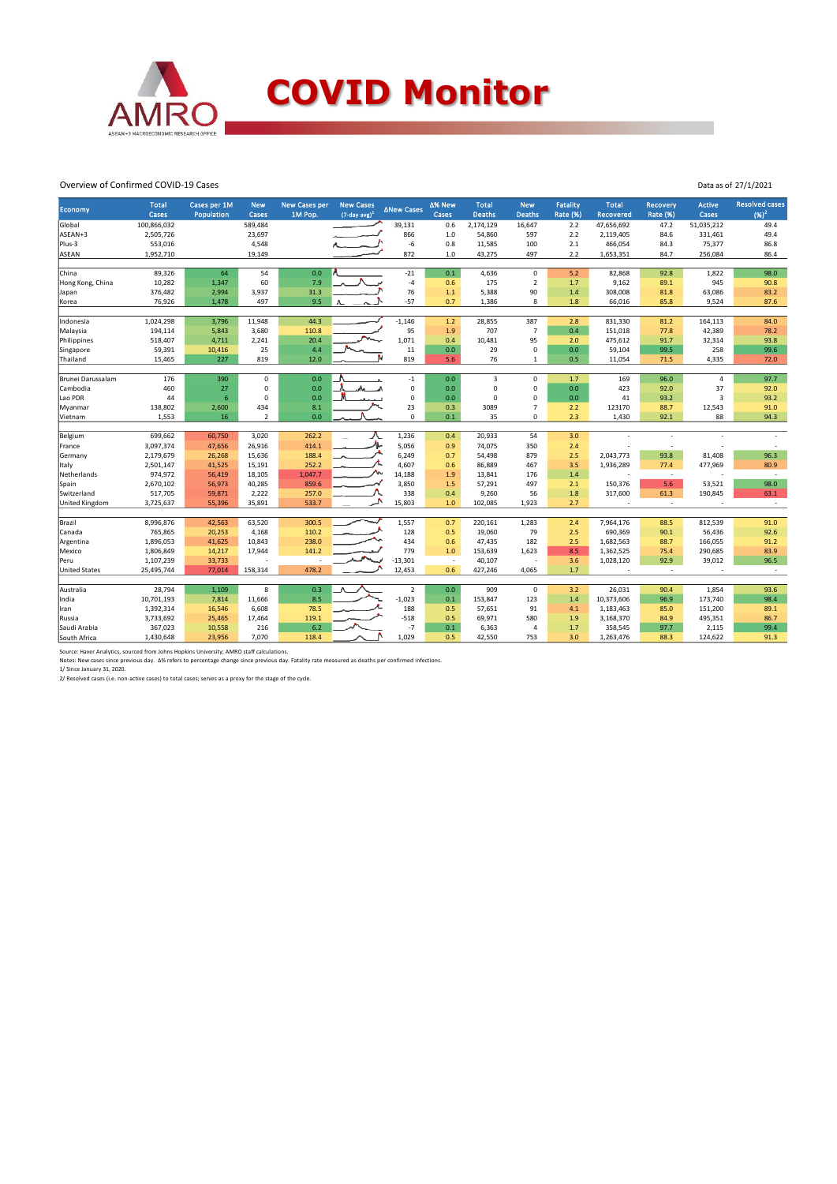

# **COVID Monitor**

Data as of 27/1/2021

#### Overview of Confirmed COVID-19 Cases

|                          | <b>Total</b>         | Cases per 1M    | <b>New</b>      | <b>New Cases per</b> | <b>New Cases</b>            | <b>ANew Cases</b> | ∆% New                   | <b>Total</b>  | <b>New</b>     | <b>Fatality</b> | <b>Total</b>       | Recovery        | <b>Active</b>     | <b>Resolved cases</b> |
|--------------------------|----------------------|-----------------|-----------------|----------------------|-----------------------------|-------------------|--------------------------|---------------|----------------|-----------------|--------------------|-----------------|-------------------|-----------------------|
| <b>Economy</b>           | Cases                | Population      | Cases           | 1M Pop.              | $(7$ -day avg) <sup>1</sup> |                   | Cases                    | <b>Deaths</b> | Deaths         | Rate (%)        | Recovered          | <b>Rate (%)</b> | Cases             | $(96)^2$              |
| Global                   | 100,866,032          |                 | 589,484         |                      |                             | 39,131            | 0.6                      | 2,174,129     | 16,647         | 2.2             | 47,656,692         | 47.2            | 51,035,212        | 49.4                  |
| ASEAN+3                  | 2,505,726            |                 | 23,697          |                      |                             | 866               | $1.0$                    | 54,860        | 597            | 2.2             | 2,119,405          | 84.6            | 331,461           | 49.4                  |
| Plus-3                   | 553,016              |                 | 4,548           |                      |                             | $-6$              | 0.8                      | 11,585        | 100            | 2.1             | 466,054            | 84.3            | 75,377            | 86.8                  |
| ASEAN                    | 1,952,710            |                 | 19,149          |                      |                             | 872               | $1.0$                    | 43,275        | 497            | 2.2             | 1,653,351          | 84.7            | 256,084           | 86.4                  |
|                          |                      |                 |                 |                      |                             |                   |                          |               |                |                 |                    |                 |                   |                       |
| China                    | 89,326               | 64              | 54              | 0.0                  |                             | $-21$             | 0.1                      | 4,636         | $\mathbf 0$    | 5.2             | 82,868             | 92.8            | 1,822             | 98.0                  |
| Hong Kong, China         | 10,282               | 1,347           | 60              | 7.9                  |                             | $-4$              | 0.6                      | 175           | $\overline{2}$ | 1.7             | 9,162              | 89.1            | 945               | 90.8                  |
| Japan                    | 376,482              | 2,994           | 3,937           | 31.3                 |                             | 76                | 1.1                      | 5,388         | 90             | 1.4             | 308,008            | 81.8            | 63,086            | 83.2                  |
| Korea                    | 76,926               | 1,478           | 497             | 9.5                  |                             | $-57$             | 0.7                      | 1,386         | 8              | 1.8             | 66,016             | 85.8            | 9,524             | 87.6                  |
|                          |                      |                 |                 | 44.3                 |                             | $-1,146$          | 1.2                      |               | 387            |                 |                    |                 |                   |                       |
| Indonesia<br>Malaysia    | 1,024,298<br>194,114 | 3,796<br>5,843  | 11,948<br>3,680 | 110.8                |                             | 95                | 1.9                      | 28,855<br>707 | $\overline{7}$ | 2.8<br>0.4      | 831,330<br>151,018 | 81.2<br>77.8    | 164,113<br>42,389 | 84.0<br>78.2          |
|                          | 518,407              |                 |                 | 20.4                 |                             | 1,071             | 0.4                      | 10,481        | 95             | 2.0             | 475,612            | 91.7            | 32,314            | 93.8                  |
| Philippines<br>Singapore | 59,391               | 4,711<br>10,416 | 2,241<br>25     | 4.4                  |                             | 11                | $0.0\,$                  | 29            | $\mathbf 0$    | 0.0             | 59,104             | 99.5            | 258               | 99.6                  |
| Thailand                 | 15,465               | 227             | 819             | 12.0                 |                             | 819               | 5.6                      | 76            | $\mathbf{1}$   | 0.5             | 11,054             | 71.5            | 4,335             | 72.0                  |
|                          |                      |                 |                 |                      |                             |                   |                          |               |                |                 |                    |                 |                   |                       |
| Brunei Darussalam        | 176                  | 390             | 0               | 0.0                  |                             | $-1$              | 0.0                      | 3             | $\mathbf 0$    | 1.7             | 169                | 96.0            | $\overline{4}$    | 97.7                  |
| Cambodia                 | 460                  | 27              | $\pmb{0}$       | 0.0                  |                             | $\mathbf 0$       | 0.0                      | $\mathbf 0$   | $\mathbf 0$    | 0.0             | 423                | 92.0            | 37                | 92.0                  |
| Lao PDR                  | 44                   | 6               | 0               | 0.0                  |                             | $\mathbf 0$       | 0.0                      | $\Omega$      | $\mathbf 0$    | 0.0             | 41                 | 93.2            | 3                 | 93.2                  |
| Myanmar                  | 138,802              | 2,600           | 434             | 8.1                  |                             | 23                | 0.3                      | 3089          | $\overline{7}$ | 2.2             | 123170             | 88.7            | 12,543            | 91.0                  |
| Vietnam                  | 1,553                | 16              | $\overline{2}$  | 0.0                  |                             | $\pmb{0}$         | 0.1                      | 35            | $\mathbf 0$    | 2.3             | 1,430              | 92.1            | 88                | 94.3                  |
|                          |                      |                 |                 |                      |                             |                   |                          |               |                |                 |                    |                 |                   |                       |
| Belgium                  | 699,662              | 60,750          | 3,020           | 262.2                |                             | 1,236             | 0.4                      | 20,933        | 54             | 3.0             |                    |                 |                   |                       |
| France                   | 3,097,374            | 47,656          | 26,916          | 414.1                |                             | 5,056             | 0.9                      | 74,075        | 350            | 2.4             |                    | ÷.              |                   |                       |
| Germany                  | 2,179,679            | 26,268          | 15,636          | 188.4                |                             | 6,249             | 0.7                      | 54,498        | 879            | 2.5             | 2,043,773          | 93.8            | 81,408            | 96.3                  |
| Italy                    | 2,501,147            | 41,525          | 15,191          | 252.2                |                             | 4,607             | 0.6                      | 86,889        | 467            | 3.5             | 1,936,289          | 77.4            | 477,969           | 80.9                  |
| Netherlands              | 974,972              | 56,419          | 18,105          | 1.047.7              |                             | 14,188            | 1.9                      | 13,841        | 176            | 1.4             |                    | $\sim$          |                   | $\sim$                |
| Spain                    | 2,670,102            | 56,973          | 40,285          | 859.6                |                             | 3,850             | 1.5                      | 57,291        | 497            | 2.1             | 150,376            | 5.6             | 53,521            | 98.0                  |
| Switzerland              | 517,705              | 59,871          | 2,222           | 257.0                |                             | 338               | 0.4                      | 9,260         | 56             | 1.8             | 317,600            | 61.3            | 190,845           | 63.1                  |
| United Kingdom           | 3,725,637            | 55,396          | 35,891          | 533.7                |                             | 15,803            | 1.0                      | 102,085       | 1.923          | 2.7             |                    | $\sim$          |                   | $\sim$                |
| Brazil                   | 8,996,876            | 42,563          | 63,520          | 300.5                |                             | 1,557             | 0.7                      | 220,161       | 1,283          | 2.4             | 7,964,176          | 88.5            | 812,539           | 91.0                  |
| Canada                   | 765,865              | 20,253          | 4,168           | 110.2                |                             | 128               | 0.5                      | 19,060        | 79             | 2.5             | 690,369            | 90.1            | 56,436            | 92.6                  |
| Argentina                | 1,896,053            | 41,625          | 10,843          | 238.0                |                             | 434               | 0.6                      | 47.435        | 182            | 2.5             | 1,682,563          | 88.7            | 166,055           | 91.2                  |
| Mexico                   | 1,806,849            | 14,217          | 17,944          | 141.2                |                             | 779               | 1.0                      | 153,639       | 1,623          | 8.5             | 1,362,525          | 75.4            | 290,685           | 83.9                  |
| Peru                     | 1,107,239            | 33,733          |                 |                      |                             | $-13,301$         | $\overline{\phantom{a}}$ | 40,107        |                | 3.6             | 1,028,120          | 92.9            | 39,012            | 96.5                  |
| <b>United States</b>     | 25,495,744           | 77,014          | 158,314         | 478.2                |                             | 12,453            | 0.6                      | 427,246       | 4,065          | 1.7             |                    | i.              |                   | $\sim$                |
|                          |                      |                 |                 |                      |                             |                   |                          |               |                |                 |                    |                 |                   |                       |
| Australia                | 28,794               | 1,109           | 8               | 0.3                  |                             | $\overline{2}$    | 0.0                      | 909           | $^{\circ}$     | 3.2             | 26,031             | 90.4            | 1,854             | 93.6                  |
| India                    | 10,701,193           | 7,814           | 11,666          | 8.5                  |                             | $-1,023$          | 0.1                      | 153,847       | 123            | 1.4             | 10,373,606         | 96.9            | 173,740           | 98.4                  |
| Iran                     | 1,392,314            | 16,546          | 6,608           | 78.5                 |                             | 188               | 0.5                      | 57,651        | 91             | 4.1             | 1,183,463          | 85.0            | 151,200           | 89.1                  |
| Russia                   | 3,733,692            | 25,465          | 17,464          | 119.1                |                             | $-518$            | 0.5                      | 69,971        | 580            | 1.9             | 3,168,370          | 84.9            | 495,351           | 86.7                  |
| Saudi Arabia             | 367,023              | 10,558          | 216             | 6.2                  |                             | $-7$              | 0.1                      | 6,363         | $\overline{4}$ | 1.7             | 358,545            | 97.7            | 2,115             | 99.4                  |
| South Africa             | 1,430,648            | 23,956          | 7,070           | 118.4                |                             | 1.029             | 0.5                      | 42,550        | 753            | 3.0             | 1,263,476          | 88.3            | 124,622           | 91.3                  |

Source: Haver Analytics, sourced from Johns Hopkins University; AMRO staff calculations.<br>Notes: New cases since previous day. ∆% refers to percentage change since previous day. Fatality rate measured as deaths per confirm